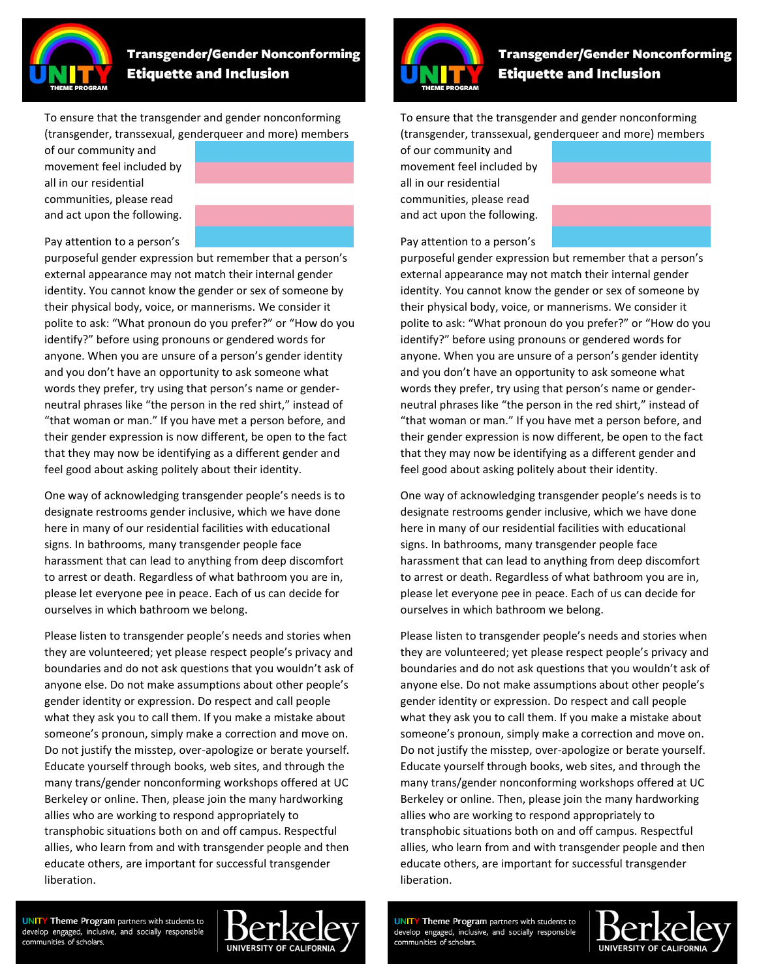

### **Transgender/Gender Nonconforming Etiquette and Inclusion**

To ensure that the transgender and gender nonconforming (transgender, transsexual, genderqueer and more) members

of our community and movement feel included by all in our residential communities, please read and act upon the following.



Pay attention to a person's

purposeful gender expression but remember that a person's external appearance may not match their internal gender identity. You cannot know the gender or sex of someone by their physical body, voice, or mannerisms. We consider it polite to ask: "What pronoun do you prefer?" or "How do you identify?" before using pronouns or gendered words for anyone. When you are unsure of a person's gender identity and you don't have an opportunity to ask someone what words they prefer, try using that person's name or genderneutral phrases like "the person in the red shirt," instead of "that woman or man." If you have met a person before, and their gender expression is now different, be open to the fact that they may now be identifying as a different gender and feel good about asking politely about their identity.

One way of acknowledging transgender people's needs is to designate restrooms gender inclusive, which we have done here in many of our residential facilities with educational signs. In bathrooms, many transgender people face harassment that can lead to anything from deep discomfort to arrest or death. Regardless of what bathroom you are in, please let everyone pee in peace. Each of us can decide for ourselves in which bathroom we belong.

Please listen to transgender people's needs and stories when they are volunteered; yet please respect people's privacy and boundaries and do not ask questions that you wouldn't ask of anyone else. Do not make assumptions about other people's gender identity or expression. Do respect and call people what they ask you to call them. If you make a mistake about someone's pronoun, simply make a correction and move on. Do not justify the misstep, over-apologize or berate yourself. Educate yourself through books, web sites, and through the many trans/gender nonconforming workshops offered at UC Berkeley or online. Then, please join the many hardworking allies who are working to respond appropriately to transphobic situations both on and off campus. Respectful allies, who learn from and with transgender people and then educate others, are important for successful transgender liberation.

### **Transgender/Gender Nonconforming Etiquette and Inclusion**

To ensure that the transgender and gender nonconforming (transgender, transsexual, genderqueer and more) members

of our community and movement feel included by all in our residential communities, please read and act upon the following.

Pay attention to a person's

purposeful gender expression but remember that a person's external appearance may not match their internal gender identity. You cannot know the gender or sex of someone by their physical body, voice, or mannerisms. We consider it polite to ask: "What pronoun do you prefer?" or "How do you identify?" before using pronouns or gendered words for anyone. When you are unsure of a person's gender identity and you don't have an opportunity to ask someone what words they prefer, try using that person's name or genderneutral phrases like "the person in the red shirt," instead of "that woman or man." If you have met a person before, and their gender expression is now different, be open to the fact that they may now be identifying as a different gender and feel good about asking politely about their identity.

One way of acknowledging transgender people's needs is to designate restrooms gender inclusive, which we have done here in many of our residential facilities with educational signs. In bathrooms, many transgender people face harassment that can lead to anything from deep discomfort to arrest or death. Regardless of what bathroom you are in, please let everyone pee in peace. Each of us can decide for ourselves in which bathroom we belong.

Please listen to transgender people's needs and stories when they are volunteered; yet please respect people's privacy and boundaries and do not ask questions that you wouldn't ask of anyone else. Do not make assumptions about other people's gender identity or expression. Do respect and call people what they ask you to call them. If you make a mistake about someone's pronoun, simply make a correction and move on. Do not justify the misstep, over-apologize or berate yourself. Educate yourself through books, web sites, and through the many trans/gender nonconforming workshops offered at UC Berkeley or online. Then, please join the many hardworking allies who are working to respond appropriately to transphobic situations both on and off campus. Respectful allies, who learn from and with transgender people and then educate others, are important for successful transgender liberation.

**UNITY Theme Program** partners with students to develop engaged, inclusive, and socially responsible communities of scholars.



**UNITY Theme Program** partners with students to develop engaged, inclusive, and socially responsible communities of scholars.